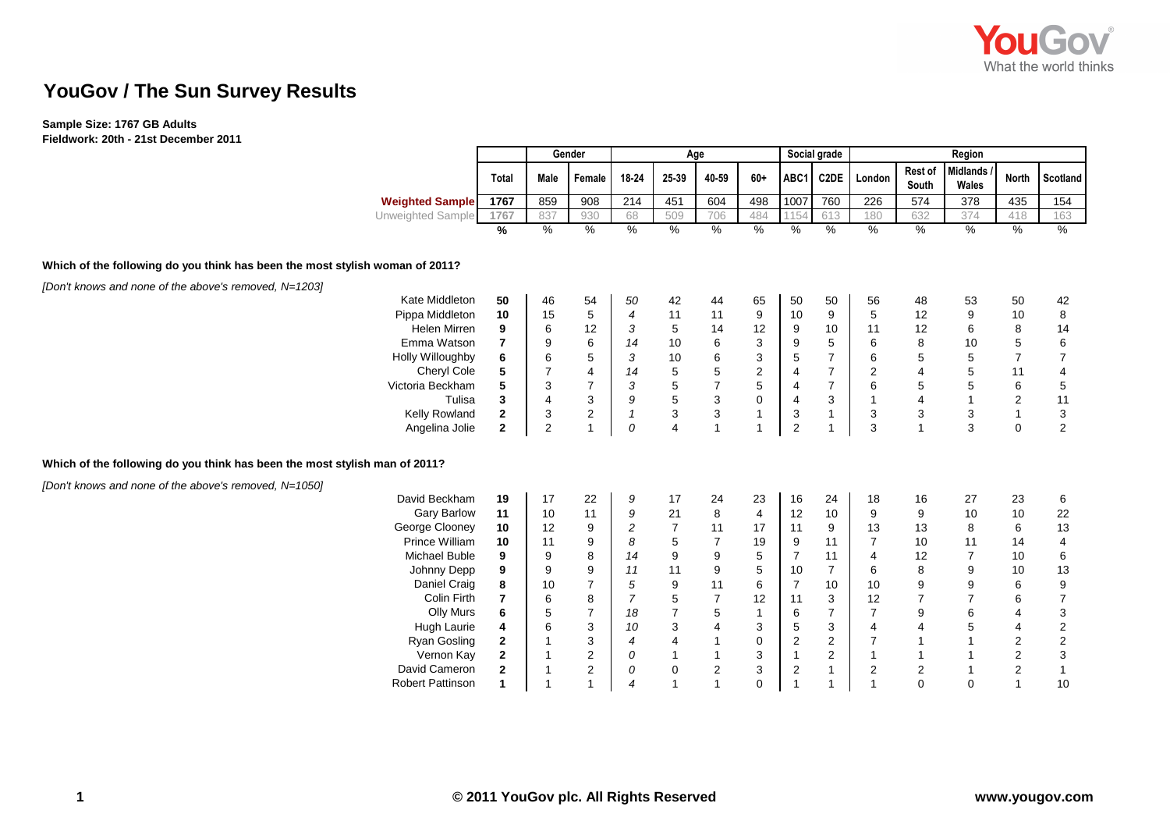

## **YouGov / The Sun Survey Results**

## **Sample Size: 1767 GB Adults**

| $\overline{a}$ ignored in the solution of $\overline{a}$ is the becompleted in the solution of $\overline{a}$ |                    |                         |                |                  | Age                     |                                            |                         |                           |                         |                           |                         |                         |                          |                         |                           |  |
|---------------------------------------------------------------------------------------------------------------|--------------------|-------------------------|----------------|------------------|-------------------------|--------------------------------------------|-------------------------|---------------------------|-------------------------|---------------------------|-------------------------|-------------------------|--------------------------|-------------------------|---------------------------|--|
|                                                                                                               |                    |                         | Gender         |                  |                         |                                            |                         |                           | Social grade            |                           | Region                  |                         |                          |                         |                           |  |
|                                                                                                               |                    | <b>Total</b>            | Male           | Female           | 18-24                   | 25-39                                      | 40-59                   | $60+$                     | ABC1                    | <b>C2DE</b>               | London                  | <b>Rest of</b><br>South | <b>Midlands</b><br>Wales | <b>North</b>            | <b>Scotland</b>           |  |
| <b>Weighted Sample</b>                                                                                        |                    | 1767                    | 859            | 908              | 214                     | 451                                        | 604                     | 498                       | 1007                    | 760                       | 226                     | 574                     | 378                      | 435                     | 154                       |  |
| <b>Unweighted Sample</b>                                                                                      |                    | 1767                    | 837            | 930              | 68                      | 509                                        | 706                     | 484                       | 1154                    | 613                       | 180                     | 632                     | 374                      | 418                     | 163                       |  |
|                                                                                                               |                    | %                       | %              | $\%$             | %                       | %                                          | %                       | %                         | %                       | %                         | $\%$                    | %                       | %                        | %                       | $\%$                      |  |
| Which of the following do you think has been the most stylish woman of 2011?                                  |                    |                         |                |                  |                         |                                            |                         |                           |                         |                           |                         |                         |                          |                         |                           |  |
| [Don't knows and none of the above's removed, N=1203]                                                         |                    |                         |                |                  |                         |                                            |                         |                           |                         |                           |                         |                         |                          |                         |                           |  |
| Kate Middleton                                                                                                |                    | 50                      | 46             | 54               | 50                      | 42                                         | 44                      | 65                        | 50                      | 50                        | 56                      | 48                      | 53                       | 50                      | 42                        |  |
| Pippa Middleton                                                                                               |                    | 10                      | 15             | $\,$ 5 $\,$      | $\boldsymbol{4}$        | 11                                         | 11                      | 9                         | 10                      | $\boldsymbol{9}$          | $\sqrt{5}$              | 12                      | $\boldsymbol{9}$         | 10                      | $\bf 8$                   |  |
| Helen Mirren                                                                                                  |                    | 9                       | 6              | 12               | 3                       | 5                                          | 14                      | 12                        | 9                       | 10                        | 11                      | 12                      | 6                        | 8                       | 14                        |  |
| Emma Watson                                                                                                   |                    | $\overline{7}$          | 9              | $\,6$            | 14                      | $10$                                       | $\,6$                   | 3                         | 9                       | $\sqrt{5}$                | $\,6\,$                 | 8                       | 10                       | 5                       | $\,6\,$                   |  |
| Holly Willoughby                                                                                              |                    | 6                       | $\,6$          | 5                | 3                       | $10$                                       | $\,6\,$                 | $\ensuremath{\mathsf{3}}$ | $\mathbf 5$             | $\overline{7}$            | $\,6\,$                 | 5                       | $\mathbf 5$              | $\overline{7}$          | $\overline{7}$            |  |
|                                                                                                               | Cheryl Cole        | 5                       | $\overline{7}$ | $\overline{4}$   | 14                      | $\,$ 5 $\,$                                | $\mathbf 5$             | $\sqrt{2}$                | $\overline{\mathbf{4}}$ | $\overline{7}$            | $\boldsymbol{2}$        | $\overline{4}$          | 5                        | 11                      | $\overline{4}$            |  |
| Victoria Beckham                                                                                              |                    | 5                       | 3              | $\overline{7}$   | $\sqrt{3}$              |                                            | $\overline{\mathbf{7}}$ | $\mathbf 5$               | $\overline{\mathbf{4}}$ | $\overline{7}$            | $\,6\,$                 | 5                       | $\mathbf 5$              | $\,6$                   | $\,$ 5 $\,$               |  |
|                                                                                                               | Tulisa             | $\overline{\mathbf{3}}$ | $\overline{4}$ | $\mathsf 3$      | $\boldsymbol{g}$        | $\begin{array}{c} 5 \\ 5 \\ 3 \end{array}$ | $\frac{3}{3}$           | $\pmb{0}$                 | $\overline{\mathbf{4}}$ | $\mathbf{3}$              | $\mathbf{1}$            | $\overline{4}$          | $\mathbf{1}$             | $\overline{c}$          | 11                        |  |
| Kelly Rowland                                                                                                 |                    | $\mathbf{2}$            | 3              | $\sqrt{2}$       | $\overline{\mathbf{1}}$ |                                            |                         | $\mathbf{1}$              | $\mathbf{3}$            | $\overline{1}$            | 3                       | $\mathbf{3}$            | $\mathbf{3}$             | $\mathbf{1}$            | $\sqrt{3}$                |  |
| Angelina Jolie                                                                                                |                    | $\overline{2}$          | $\overline{2}$ | $\mathbf{1}$     | 0                       | $\overline{4}$                             | $\mathbf{1}$            | $\overline{1}$            | $\overline{c}$          | $\mathbf{1}$              | 3                       | $\mathbf{1}$            | 3                        | $\mathbf 0$             | $\overline{2}$            |  |
| Which of the following do you think has been the most stylish man of 2011?                                    |                    |                         |                |                  |                         |                                            |                         |                           |                         |                           |                         |                         |                          |                         |                           |  |
| [Don't knows and none of the above's removed, N=1050]                                                         |                    |                         |                |                  |                         |                                            |                         |                           |                         |                           |                         |                         |                          |                         |                           |  |
| David Beckham                                                                                                 |                    | 19                      | 17             | 22               | 9                       | 17                                         | 24                      | 23                        | 16                      | 24                        | 18                      | 16                      | 27                       | 23                      | 6                         |  |
|                                                                                                               | <b>Gary Barlow</b> | 11                      | 10             | 11               | 9                       | 21                                         | 8                       | $\overline{4}$            | 12                      | 10                        | 9                       | 9                       | 10                       | 10                      | 22                        |  |
| George Clooney                                                                                                |                    | 10                      | 12             | 9                | $\overline{\mathbf{c}}$ | $\overline{7}$                             | 11                      | 17                        | 11                      | 9                         | 13                      | 13                      | 8                        | 6                       | 13                        |  |
| Prince William                                                                                                |                    | 10                      | 11             | 9                | $\it 8$                 | 5                                          | $\boldsymbol{7}$        | 19                        | 9                       | 11                        | $\overline{7}$          | 10                      | 11                       | 14                      | 4                         |  |
| Michael Buble                                                                                                 |                    | 9                       | 9              | $\bf 8$          | 14                      | $\boldsymbol{9}$                           | $\boldsymbol{9}$        | $\mathbf 5$               | $\overline{7}$          | 11                        | $\overline{4}$          | 12                      | $\overline{7}$           | $10$                    | $\,6$                     |  |
| Johnny Depp                                                                                                   |                    | 9                       | 9              | $\boldsymbol{9}$ | 11                      | 11                                         | $\boldsymbol{9}$        | $\mathbf 5$               | 10                      | $\overline{7}$            | $\,6\,$                 | 8                       | $\boldsymbol{9}$         | 10                      | 13                        |  |
|                                                                                                               | Daniel Craig       | 8                       | 10             | $\overline{7}$   | $\sqrt{5}$              | $\boldsymbol{9}$                           | 11                      | 6                         | $\overline{7}$          | 10                        | 10                      | $\mathsf g$             | 9                        | 6                       | $\boldsymbol{9}$          |  |
|                                                                                                               | Colin Firth        | $\overline{7}$          | 6              | 8                | $\overline{7}$          | 5                                          | $\boldsymbol{7}$        | 12                        | 11                      | 3                         | 12                      | $\overline{7}$          | $\overline{7}$           | 6                       | $\overline{7}$            |  |
|                                                                                                               | <b>Olly Murs</b>   | 6                       | 5              | $\overline{7}$   | 18                      | $\overline{7}$                             | $\,$ 5 $\,$             | $\overline{1}$            | $\,6$                   | $\overline{7}$            | $\overline{7}$          | 9                       | $\,6$                    | 4                       | $\mathbf{3}$              |  |
|                                                                                                               | Hugh Laurie        | 4                       | 6              | 3                | 10                      | $\ensuremath{\mathsf{3}}$                  | $\overline{\mathbf{4}}$ | $\ensuremath{\mathsf{3}}$ | 5                       | $\ensuremath{\mathsf{3}}$ | $\overline{4}$          | $\overline{\mathbf{4}}$ | 5                        | 4                       | $\overline{2}$            |  |
| Ryan Gosling                                                                                                  |                    | $\mathbf{2}$            |                | 3                | $\overline{4}$          | $\pmb{4}$                                  | $\mathbf{1}$            | $\pmb{0}$                 | $\mathbf 2$             | $\overline{c}$            | $\overline{7}$          | $\mathbf{1}$            | $\mathbf{1}$             | $\sqrt{2}$              | $\overline{c}$            |  |
|                                                                                                               | Vernon Kay         | $\mathbf 2$             |                | $\mathbf{2}$     | 0                       |                                            |                         | 3                         | $\mathbf{1}$            | $\sqrt{2}$                | $\mathbf{1}$            | $\mathbf{1}$            | $\mathbf{1}$             | $\overline{\mathbf{c}}$ | $\ensuremath{\mathsf{3}}$ |  |
| David Cameron                                                                                                 |                    | $\mathbf{2}$            |                | 2                | 0                       | 0                                          | $\overline{\mathbf{c}}$ | 3                         | $\sqrt{2}$              | $\mathbf{1}$              | $\overline{\mathbf{c}}$ | $\boldsymbol{2}$        | $\overline{1}$           | $\overline{c}$          |                           |  |
| <b>Robert Pattinson</b>                                                                                       |                    | $\mathbf{1}$            | $\overline{1}$ | 1                | $\overline{4}$          |                                            | 1                       | 0                         | $\overline{1}$          | $\overline{1}$            | $\overline{1}$          | $\mathbf 0$             | $\mathbf 0$              | $\overline{1}$          | 10                        |  |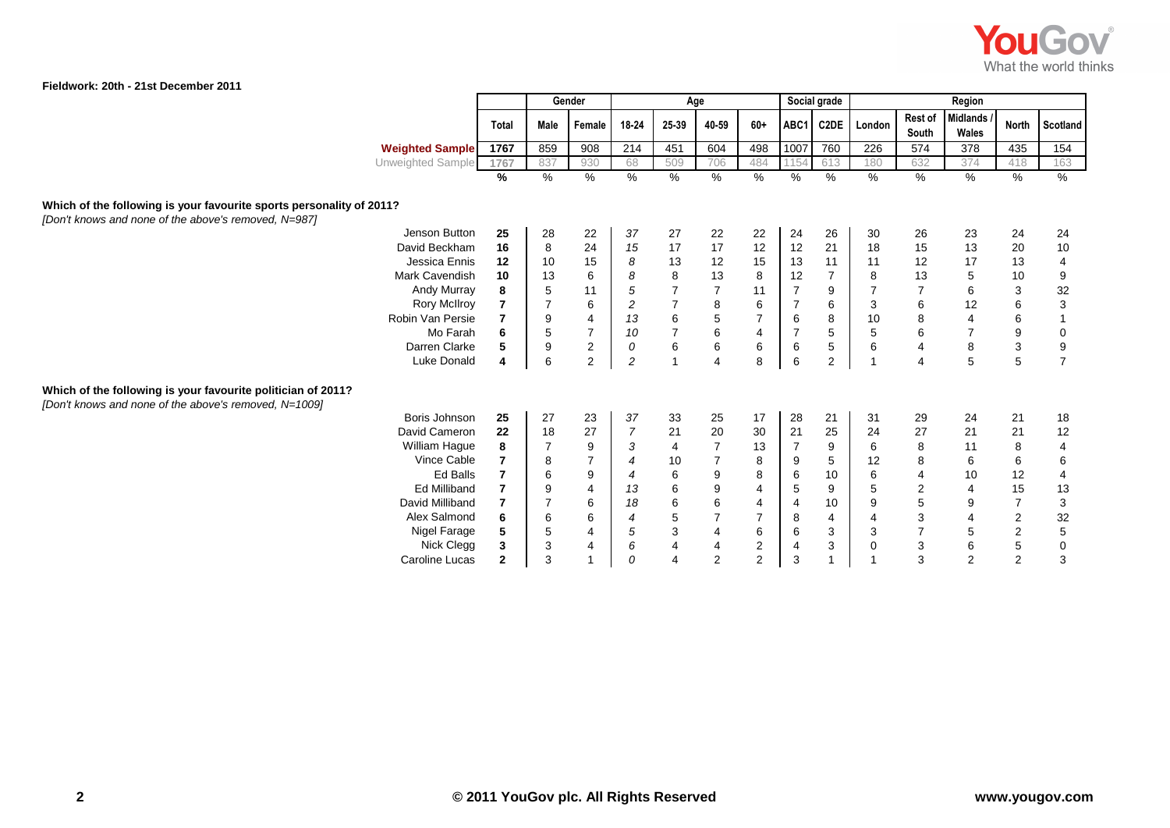

|                                                                                                                              |            |                |                | Gender                  |                          |                         | Age              |                         |                | Social grade   |                |                  | Region                   |                |                                             |
|------------------------------------------------------------------------------------------------------------------------------|------------|----------------|----------------|-------------------------|--------------------------|-------------------------|------------------|-------------------------|----------------|----------------|----------------|------------------|--------------------------|----------------|---------------------------------------------|
|                                                                                                                              |            | <b>Total</b>   | Male           | Female                  | 18-24                    | 25-39                   | 40-59            | $60+$                   | ABC1           | C2DE           | London         | Rest of<br>South | <b>Midlands</b><br>Wales | <b>North</b>   | Scotland                                    |
| <b>Weighted Sample</b>                                                                                                       |            | 1767           | 859            | 908                     | 214                      | 451                     | 604              | 498                     | 1007           | 760            | 226            | 574              | 378                      | 435            | $\frac{154}{ }$                             |
| Unweighted Sample                                                                                                            |            | 1767           | 837            | 930                     | 68                       | 509                     | 706              | 484                     | 1154           | 613            | 180            | 632              | 374                      | 418            | 163                                         |
|                                                                                                                              |            | %              | $\frac{9}{6}$  | %                       | $\frac{9}{6}$            | $\frac{9}{6}$           | $\frac{0}{6}$    | $\frac{9}{6}$           | $\%$           | %              | %              | $\frac{9}{6}$    | %                        | %              | $\frac{0}{0}$                               |
| Which of the following is your favourite sports personality of 2011?<br>[Don't knows and none of the above's removed, N=987] |            |                |                |                         |                          |                         |                  |                         |                |                |                |                  |                          |                |                                             |
| Jenson Button                                                                                                                |            | 25             | 28             | 22                      | 37                       | 27                      | 22               | 22                      | 24             | 26             | 30             | 26               | 23                       | 24             | 24                                          |
| David Beckham                                                                                                                |            | 16             | 8              | 24                      | 15                       | 17                      | 17               | 12                      | 12             | 21             | 18             | 15               | 13                       | 20             | $10$                                        |
| Jessica Ennis                                                                                                                |            | 12             | 10             | 15                      | 8                        | 13                      | 12               | 15                      | 13             | 11             | 11             | 12               | 17                       | 13             | $\overline{\mathcal{A}}$                    |
| Mark Cavendish                                                                                                               |            | 10             | 13             | $\,6$                   | $\boldsymbol{s}$         | $\bf8$                  | 13               | $\bf8$                  | 12             | $\overline{7}$ | 8              | 13               | 5                        | 10             | $\boldsymbol{9}$                            |
| Andy Murray                                                                                                                  |            | 8              | $\sqrt{5}$     | 11                      | $\sqrt{5}$               | $\overline{7}$          | $\overline{7}$   | 11                      | $\overline{7}$ | 9              |                | $\overline{7}$   | $\,6\,$                  | 3              | 32                                          |
| <b>Rory McIlroy</b>                                                                                                          |            |                | $\overline{7}$ | 6                       | $\overline{c}$           | $\overline{\mathbf{7}}$ | $\,8\,$          | $\,6\,$                 | $\overline{7}$ | 6              | 3              | 6                | 12                       | 6              | $\ensuremath{\mathsf{3}}$                   |
| Robin Van Persie                                                                                                             |            |                | 9              | $\overline{4}$          | 13                       | $\boldsymbol{6}$        | $\sqrt{5}$       | $\overline{7}$          | 6              | 8              | 10             | 8                | 4                        | 6              |                                             |
|                                                                                                                              | Mo Farah   | 6              | $\overline{5}$ | $\overline{7}$          | 10                       | $\overline{7}$          | $\,6\,$          | $\overline{\mathbf{4}}$ | $\overline{7}$ | $\sqrt{5}$     | 5              | $\,6$            | $\overline{7}$           | $9\,$          | $\pmb{0}$                                   |
| Darren Clarke                                                                                                                |            | 5              | 9              | $\overline{\mathbf{c}}$ | 0                        | $\,6\,$                 | $\,6\,$          | $\,6\,$                 | 6              | $\,$ 5 $\,$    | 6              | 4                | 8                        | $\sqrt{3}$     | $\boldsymbol{9}$                            |
| <b>Luke Donald</b>                                                                                                           |            | 4              | 6              | $\overline{c}$          | $\sqrt{2}$               | $\overline{1}$          | $\overline{4}$   | 8                       | 6              | 2              |                |                  | 5                        | 5              | $\overline{7}$                              |
| Which of the following is your favourite politician of 2011?<br>[Don't knows and none of the above's removed, N=1009]        |            |                |                |                         |                          |                         |                  |                         |                |                |                |                  |                          |                |                                             |
| Boris Johnson                                                                                                                |            | 25             | 27             | 23                      | 37                       | 33                      | 25               | 17                      | 28             | 21             | 31             | 29               | 24                       | 21             | 18                                          |
| David Cameron                                                                                                                |            | 22             | 18             | 27                      | $\overline{7}$           | 21                      | 20               | 30                      | 21             | 25             | 24             | 27               | 21                       | 21             | $12$                                        |
| William Hague                                                                                                                |            | 8              | $\overline{7}$ | 9                       | 3                        | $\overline{4}$          | $\overline{7}$   | 13                      | $\overline{7}$ | 9              | 6              | 8                | 11                       | 8              | $\overline{\mathbf{4}}$                     |
| Vince Cable                                                                                                                  |            | 7              | 8              | $\overline{7}$          | $\overline{4}$           | 10                      | $\overline{7}$   | 8                       | 9              | 5              | 12             | 8                | 6                        | 6              | $\,6\,$                                     |
|                                                                                                                              | Ed Balls   | 7              | 6              | $\boldsymbol{9}$        | 4                        | $\,6\,$                 | $\boldsymbol{9}$ | 8                       | 6              | 10             | 6              | $\overline{4}$   | 10                       | 12             | $\pmb{4}$                                   |
| <b>Ed Milliband</b>                                                                                                          |            | $\overline{7}$ | 9              | $\overline{4}$          | 13                       | $\,6\,$                 | $\boldsymbol{9}$ | 4                       | 5              | 9              | $\mathbf 5$    | $\overline{c}$   | $\overline{4}$           | 15             | 13                                          |
| David Milliband                                                                                                              |            | 7              | $\overline{7}$ | 6                       | 18                       | $\,6\,$                 | $\,6$            | 4                       | $\overline{4}$ | 10             | 9              | 5                | 9                        | $\overline{7}$ | $\ensuremath{\mathsf{3}}$                   |
| Alex Salmond                                                                                                                 |            | 6              | 6              | 6                       | $\overline{\mathcal{A}}$ |                         | $\overline{7}$   | $\overline{7}$          | 8              | 4              | $\overline{4}$ | 3                | 4                        | $\mathbf 2$    |                                             |
| Nigel Farage                                                                                                                 |            | 5              | $\mathbf 5$    | $\overline{\mathbf{4}}$ | 5                        | $\frac{5}{3}$           | $\overline{4}$   | $\,6\,$                 | 6              | 3              | 3              |                  | $\mathbf 5$              | $\sqrt{2}$     | $\begin{array}{c} 32 \\ 5 \\ 0 \end{array}$ |
|                                                                                                                              | Nick Clegg | 3              | 3              | $\overline{4}$          | $\boldsymbol{6}$         | $\overline{\mathbf{4}}$ | $\overline{4}$   | $\sqrt{2}$              | $\overline{4}$ | $\mathbf{3}$   | 0              | 3                | $\,6\,$                  | $\mathbf 5$    |                                             |
| Caroline Lucas                                                                                                               |            | $\mathbf{2}$   | 3              |                         | 0                        | $\overline{4}$          | 2                | 2                       | 3              |                |                | 3                | 2                        | 2              | 3                                           |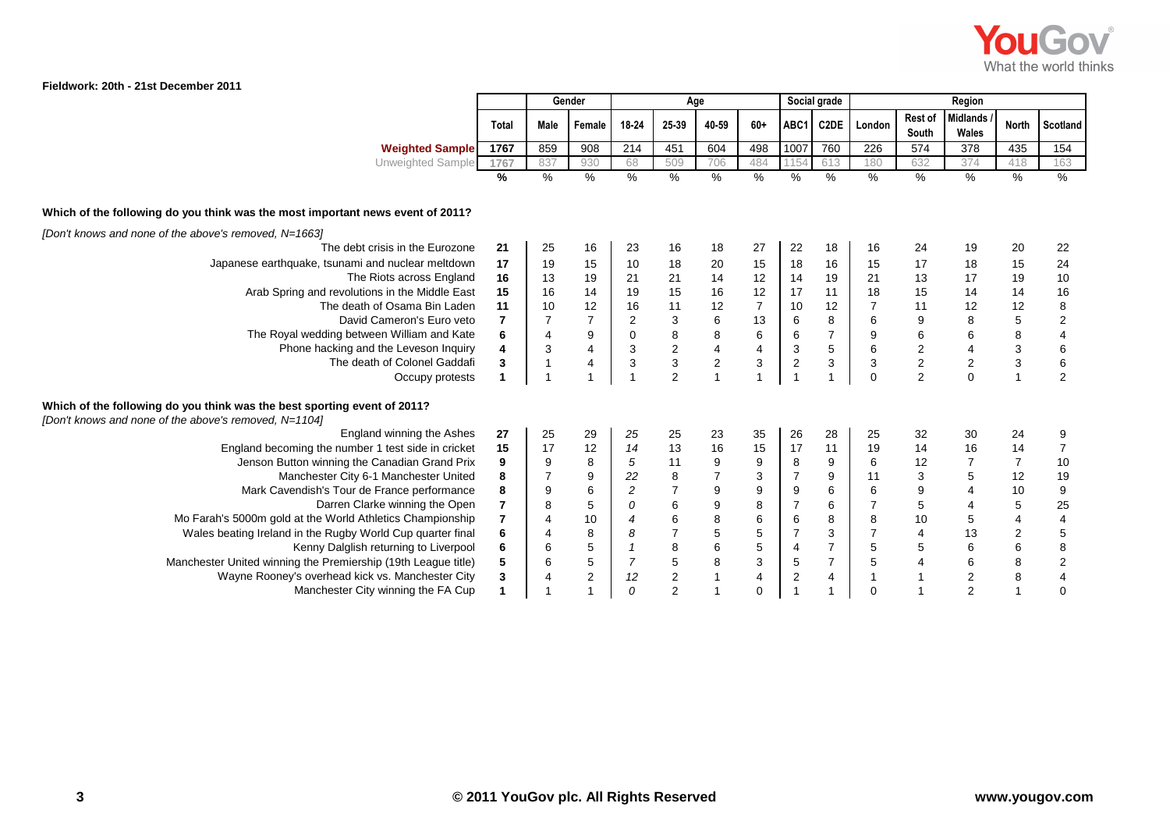

|                                                                                                                                   |                |                  | Gender                  | Age                     |                                                 |                  |                           |                           | Social grade              | Region         |                  |                         |                           |                                            |  |
|-----------------------------------------------------------------------------------------------------------------------------------|----------------|------------------|-------------------------|-------------------------|-------------------------------------------------|------------------|---------------------------|---------------------------|---------------------------|----------------|------------------|-------------------------|---------------------------|--------------------------------------------|--|
|                                                                                                                                   | Total          | <b>Male</b>      | Female                  | 18-24                   | 25-39                                           | 40-59            | $60+$                     | ABC1                      | C2DE                      | London         | Rest of<br>South | Midlands<br>Wales       | <b>North</b>              | Scotland                                   |  |
| <b>Weighted Sample</b>                                                                                                            | 1767           | 859              | 908                     | 214                     | 451                                             | 604              | 498                       | 1007                      | 760                       | 226            | 574              | 378                     | 435                       | 154                                        |  |
| Unweighted Sample                                                                                                                 | 1767           | 837              | 930                     | 68                      | 509                                             | 706              | 484                       | 1154                      | 613                       | 180            | 632              | 374                     | 418                       | 163                                        |  |
|                                                                                                                                   | $\frac{1}{6}$  | %                | $\%$                    | $\frac{0}{0}$           | $\%$                                            | $\%$             | %                         | $\frac{0}{6}$             | $\frac{9}{6}$             | $\frac{9}{6}$  | $\frac{9}{6}$    | %                       | $\frac{9}{6}$             | %                                          |  |
| Which of the following do you think was the most important news event of 2011?                                                    |                |                  |                         |                         |                                                 |                  |                           |                           |                           |                |                  |                         |                           |                                            |  |
| [Don't knows and none of the above's removed, N=1663]                                                                             |                |                  |                         |                         |                                                 |                  |                           |                           |                           |                |                  |                         |                           |                                            |  |
| The debt crisis in the Eurozone                                                                                                   | 21             | 25               | 16                      | 23                      | 16                                              | 18               | 27                        | 22                        | 18                        | 16             | 24               | 19                      | 20                        | 22                                         |  |
| Japanese earthquake, tsunami and nuclear meltdown                                                                                 | 17             | 19               | 15                      | 10                      | 18                                              | 20               | 15                        | 18                        | 16                        | 15             | 17               | 18                      | 15                        | 24                                         |  |
| The Riots across England                                                                                                          | 16             | 13               | 19                      | 21                      | 21                                              | 14               | 12                        | 14                        | 19                        | 21             | 13               | 17                      | 19                        | $10$                                       |  |
| Arab Spring and revolutions in the Middle East                                                                                    | 15             | 16               | 14                      | 19                      | 15                                              | 16               | 12                        | 17                        | 11                        | 18             | 15               | 14                      | 14                        | 16                                         |  |
| The death of Osama Bin Laden                                                                                                      | 11             | 10               | 12                      | 16                      | 11                                              | 12               | $\overline{7}$            | 10                        | 12                        |                | 11               | 12                      | 12                        |                                            |  |
| David Cameron's Euro veto                                                                                                         | $\overline{7}$ |                  |                         | $\overline{\mathbf{c}}$ |                                                 | $\,6\,$          | 13                        | 6                         | $\bf 8$                   | 6              | 9                | 8                       | $\mathbf 5$               | $\begin{array}{c} 8 \\ 2 \\ 4 \end{array}$ |  |
| The Royal wedding between William and Kate                                                                                        | 6              | 4                | $\boldsymbol{9}$        | $\pmb{0}$               |                                                 | $\bf 8$          | $\,6\,$                   | 6                         | $\overline{7}$            | 9              |                  | $\,6\,$                 | 8                         |                                            |  |
| Phone hacking and the Leveson Inquiry                                                                                             | 4              | 3                | $\overline{\mathbf{4}}$ | $\mathsf 3$             | $\begin{array}{c} 3 \\ 8 \\ 2 \\ 3 \end{array}$ | $\frac{4}{2}$    | $\overline{\mathbf{4}}$   | $\ensuremath{\mathsf{3}}$ | $\,$ 5 $\,$               | $\overline{6}$ | 6<br>2<br>2<br>2 | $\overline{\mathbf{4}}$ | $\ensuremath{\mathsf{3}}$ | 6<br>6                                     |  |
| The death of Colonel Gaddafi                                                                                                      | 3              | 1                | $\overline{4}$          | 3                       |                                                 |                  | 3                         | $\sqrt{2}$                | $\ensuremath{\mathsf{3}}$ | 3              |                  | $\boldsymbol{2}$        | $\mathbf{3}$              |                                            |  |
| Occupy protests                                                                                                                   |                |                  |                         |                         | $\overline{c}$                                  | $\mathbf{1}$     |                           | $\overline{1}$            | 1                         | 0              |                  | $\mathbf 0$             | $\mathbf{1}$              | $\overline{2}$                             |  |
| Which of the following do you think was the best sporting event of 2011?<br>[Don't knows and none of the above's removed, N=1104] |                |                  |                         |                         |                                                 |                  |                           |                           |                           |                |                  |                         |                           |                                            |  |
| England winning the Ashes                                                                                                         | 27             | 25               | 29                      | 25                      | 25                                              | 23               | 35                        | 26                        | 28                        | 25             | 32               | 30                      | 24                        | 9                                          |  |
| England becoming the number 1 test side in cricket                                                                                | 15             | 17               | 12                      | 14                      | 13                                              | $16\,$           | 15                        | 17                        | 11                        | 19             | 14               | 16                      | 14                        | $\boldsymbol{7}$                           |  |
| Jenson Button winning the Canadian Grand Prix                                                                                     | 9              | 9                | $\,$ 8 $\,$             | 5                       | 11                                              | $\boldsymbol{9}$ | 9                         | 8                         | 9                         | 6              | 12               |                         | $\overline{7}$            | $10$                                       |  |
| Manchester City 6-1 Manchester United                                                                                             | 8              |                  | $\boldsymbol{9}$        | 22                      | $\begin{array}{c} 8 \\ 7 \end{array}$           | $\overline{7}$   | $\ensuremath{\mathsf{3}}$ | $\overline{7}$            | $\boldsymbol{9}$          | 11             | $\mathbf{3}$     | $\mathbf 5$             | 12                        | 19                                         |  |
| Mark Cavendish's Tour de France performance                                                                                       | 8              | $\boldsymbol{9}$ | 6                       | $\sqrt{2}$              |                                                 | $\boldsymbol{9}$ | $\boldsymbol{9}$          | 9                         | 6                         | 6              | $\boldsymbol{9}$ | $\overline{4}$          | 10                        | $\boldsymbol{9}$                           |  |
| Darren Clarke winning the Open                                                                                                    | 7              | 8                | $\,$ 5 $\,$             | 0                       | 6                                               | $\boldsymbol{9}$ | 8                         | $\overline{7}$            | 6                         |                | $\mathbf 5$      | 4                       | 5                         | 25                                         |  |
| Mo Farah's 5000m gold at the World Athletics Championship                                                                         | 7              | $\overline{4}$   | 10                      | 4                       | $\,6$                                           | $\bf8$           | $\,6$                     | 6                         | 8                         | 8              | 10               | $\mathbf 5$             | 4                         | $\overline{\mathbf{4}}$                    |  |
| Wales beating Ireland in the Rugby World Cup quarter final                                                                        | 6              |                  | $\bf 8$                 | 8                       | $\overline{\mathbf{7}}$                         | $\,$ 5 $\,$      | $\mathbf 5$               | $\overline{7}$            | $\ensuremath{\mathsf{3}}$ |                | 4                | 13                      | $\sqrt{2}$                | 5                                          |  |
| Kenny Dalglish returning to Liverpool                                                                                             | 6              | 6                | $\mathbf 5$             | $\mathbf{1}$            | $\bf 8$                                         | $\,6\,$          | 5                         | 4                         | $\overline{7}$            | 5              | 5                | $\,6$                   | $\,6\,$                   | 8                                          |  |
| Manchester United winning the Premiership (19th League title)                                                                     | 5              | 6                | $\overline{5}$          | $\overline{7}$          | $\frac{5}{2}$                                   | $\,8\,$          | $\mathsf 3$               | 5                         | $\boldsymbol{7}$          | 5              | $\overline{4}$   | 6                       | 8                         | $\mathbf 2$                                |  |
| Wayne Rooney's overhead kick vs. Manchester City                                                                                  | 3              | $\overline{4}$   | $\overline{2}$          | 12                      |                                                 | $\mathbf{1}$     | $\overline{\mathbf{4}}$   | $\sqrt{2}$                | $\overline{4}$            |                | $\overline{1}$   | $\sqrt{2}$              | 8                         | $\overline{\mathbf{4}}$                    |  |
| Manchester City winning the FA Cup                                                                                                | 1              |                  |                         | $\theta$                | $\overline{c}$                                  | $\mathbf{1}$     | $\mathbf 0$               | $\overline{1}$            | 1                         | $\Omega$       |                  | $\overline{2}$          | $\overline{1}$            | 0                                          |  |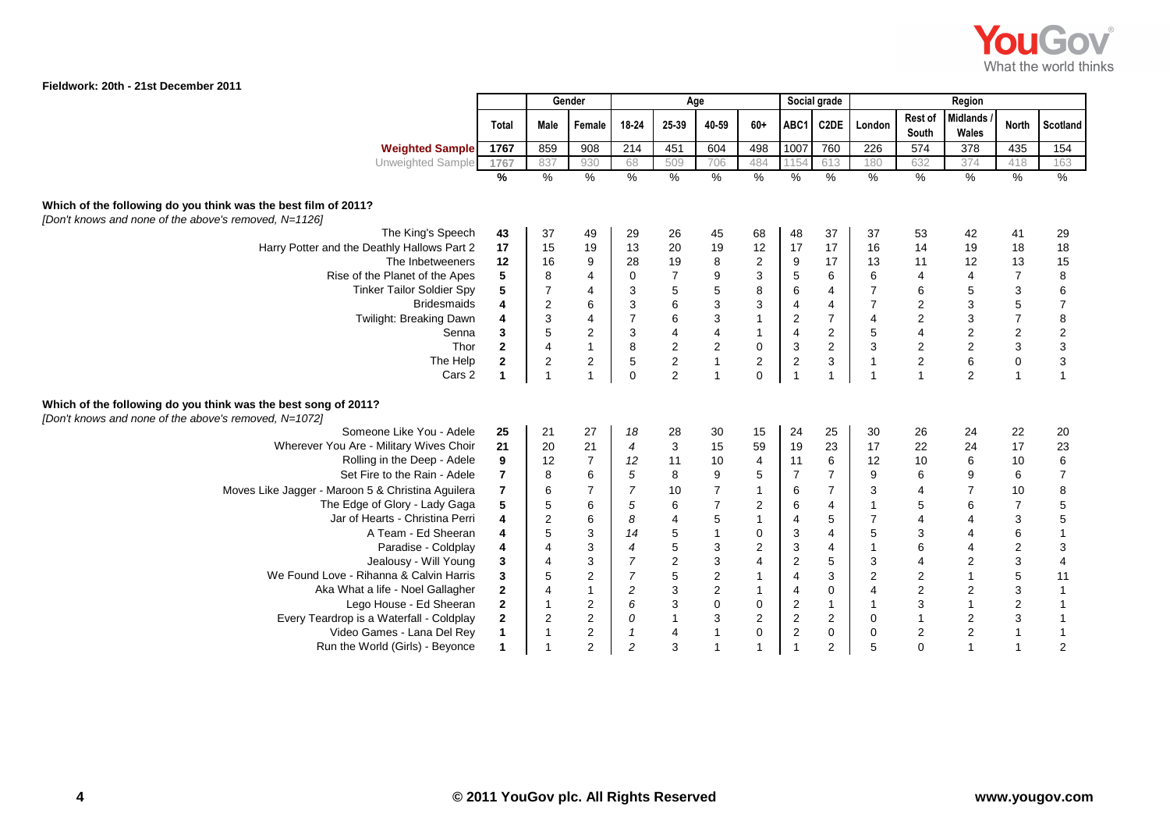

|                                                                                                                         |                              |                         | Gender                           | Age                       |                                            |                                       | Social grade<br>Region           |                              |                              |                                           |                                        |                              |                                |                                            |
|-------------------------------------------------------------------------------------------------------------------------|------------------------------|-------------------------|----------------------------------|---------------------------|--------------------------------------------|---------------------------------------|----------------------------------|------------------------------|------------------------------|-------------------------------------------|----------------------------------------|------------------------------|--------------------------------|--------------------------------------------|
|                                                                                                                         | <b>Total</b>                 | Male                    | Female                           | 18-24                     | 25-39                                      | 40-59                                 | $60+$                            | ABC1                         | C2DE                         | London                                    | Rest of<br>South                       | <b>Midlands</b><br>Wales     | <b>North</b>                   | Scotland                                   |
| <b>Weighted Sample</b>                                                                                                  | 1767                         | 859                     | 908                              | 214                       | 451                                        | 604                                   | 498                              | 1007                         | 760                          | 226                                       | 574                                    | 378                          | 435                            | $\overline{154}$                           |
| Unweighted Sample                                                                                                       | 1767                         | 837                     | 930                              | 68                        | 509                                        | 706                                   | 484                              | 1154                         | 613                          | 180                                       | 632                                    | 374                          | 418                            | 163                                        |
|                                                                                                                         | $\frac{9}{6}$                | $\frac{9}{6}$           | $\frac{9}{6}$                    | $\frac{9}{6}$             | $\frac{9}{6}$                              | $\frac{0}{6}$                         | $\frac{9}{6}$                    | $\%$                         | $\frac{9}{6}$                | $\frac{9}{6}$                             | $\frac{9}{6}$                          | $\frac{9}{6}$                | $\frac{9}{6}$                  | $\frac{0}{2}$                              |
| Which of the following do you think was the best film of 2011?<br>[Don't knows and none of the above's removed, N=1126] |                              |                         |                                  |                           |                                            |                                       |                                  |                              |                              |                                           |                                        |                              |                                |                                            |
| The King's Speech                                                                                                       | 43                           | 37                      | 49                               | 29                        | 26                                         | 45                                    | 68                               | 48                           | 37                           | 37                                        | 53                                     | 42                           | 41                             | 29                                         |
| Harry Potter and the Deathly Hallows Part 2                                                                             | 17                           | 15                      | 19                               | 13                        | 20                                         | 19                                    | 12                               | 17                           | 17                           | 16                                        | 14                                     | 19                           | 18                             | 18                                         |
| The Inbetweeners                                                                                                        | 12                           | 16                      | $\boldsymbol{9}$                 | 28                        | 19                                         | $\bf 8$                               | $\sqrt{2}$                       | $\boldsymbol{9}$             | 17                           | 13                                        | 11                                     | 12                           | 13                             | 15                                         |
| Rise of the Planet of the Apes                                                                                          | 5                            | 8                       | $\overline{4}$                   | $\pmb{0}$                 | $\boldsymbol{7}$                           | $\boldsymbol{9}$                      | $\sqrt{3}$                       | $\sqrt{5}$                   | 6                            | 6                                         | $\overline{4}$                         | 4                            | $\overline{7}$                 | $\bf8$                                     |
| <b>Tinker Tailor Soldier Spy</b>                                                                                        | 5                            | $\overline{7}$          | $\overline{4}$                   | $\sqrt{3}$                | 5                                          | $\,$ 5 $\,$                           | $\,8\,$                          | $\,6\,$                      | $\overline{4}$               | $\overline{7}$                            | 6                                      | $\mathbf 5$                  | 3                              | $\,6$                                      |
| <b>Bridesmaids</b>                                                                                                      | 4                            | $\overline{\mathbf{c}}$ | $\,6$                            | $\ensuremath{\mathsf{3}}$ | 6                                          | $\ensuremath{\mathsf{3}}$             | $\ensuremath{\mathsf{3}}$        | $\overline{4}$               | 4                            | $\overline{7}$                            | $\overline{\mathbf{c}}$                | $\ensuremath{\mathsf{3}}$    | $\mathbf 5$                    | $\overline{7}$                             |
| Twilight: Breaking Dawn                                                                                                 | 4                            | 3                       | $\overline{\mathbf{4}}$          | $\overline{7}$            | $\, 6$                                     | $\sqrt{3}$                            | $\overline{1}$                   | $\sqrt{2}$                   | $\overline{7}$               | $\overline{4}$                            |                                        | 3                            | $\boldsymbol{7}$               | $\bf 8$                                    |
| Senna<br>Thor                                                                                                           | 3<br>$\mathbf{2}$            | 5<br>$\overline{4}$     | $\sqrt{2}$<br>$\mathbf{1}$       | $\mathbf{3}$              |                                            | $\overline{\mathbf{4}}$               | $\overline{1}$                   | $\overline{4}$               | $\overline{c}$<br>$\sqrt{2}$ | $\mathbf 5$<br>$\mathsf 3$                | 4                                      | $\sqrt{2}$                   | $\overline{c}$<br>$\mathbf{3}$ |                                            |
| The Help                                                                                                                | $\mathbf 2$                  | $\boldsymbol{2}$        |                                  | $\bf 8$<br>$\sqrt{5}$     | $\begin{array}{c} 4 \\ 2 \\ 2 \end{array}$ | $\begin{array}{c} 2 \\ 1 \end{array}$ | $\pmb{0}$<br>$\sqrt{2}$          | $\sqrt{3}$<br>$\sqrt{2}$     | 3                            |                                           | $\overline{\mathbf{c}}$<br>$\mathbf 2$ | $\mathbf 2$<br>$\,6\,$       | $\pmb{0}$                      | $\begin{array}{c} 2 \\ 3 \\ 3 \end{array}$ |
| Cars 2                                                                                                                  | $\blacktriangleleft$         | $\overline{1}$          | $\mathbf 2$<br>$\overline{1}$    | $\mathbf 0$               | $\overline{2}$                             | $\overline{1}$                        | $\mathbf 0$                      | $\mathbf{1}$                 | $\mathbf{1}$                 | $\overline{1}$                            |                                        | 2                            | $\mathbf{1}$                   | $\overline{1}$                             |
|                                                                                                                         |                              |                         |                                  |                           |                                            |                                       |                                  |                              |                              |                                           |                                        |                              |                                |                                            |
| Which of the following do you think was the best song of 2011?<br>[Don't knows and none of the above's removed, N=1072] |                              |                         |                                  |                           |                                            |                                       |                                  |                              |                              |                                           |                                        |                              |                                |                                            |
| Someone Like You - Adele                                                                                                | 25                           | 21                      | 27                               | 18                        | 28                                         | 30                                    | 15                               | 24                           | 25                           | 30                                        | 26                                     | 24                           | 22                             | 20                                         |
| Wherever You Are - Military Wives Choir                                                                                 | 21                           | 20                      | 21                               | $\overline{4}$            | $\sqrt{3}$                                 | 15                                    | 59                               | 19                           | 23                           | 17                                        | 22                                     | 24                           | 17                             | 23                                         |
| Rolling in the Deep - Adele                                                                                             | 9                            | 12                      | $\overline{7}$                   | 12                        | 11                                         | 10                                    | $\overline{4}$                   | 11                           | 6                            | 12                                        | 10                                     | 6                            | 10                             | $\boldsymbol{6}$                           |
| Set Fire to the Rain - Adele                                                                                            | $\overline{7}$               | 8                       | $\,6$                            | $\sqrt{5}$                | $\bf 8$                                    | 9                                     | 5                                | $\overline{7}$               | $\overline{7}$               | 9                                         | 6                                      | 9                            | 6                              | $\overline{\mathcal{I}}$                   |
| Moves Like Jagger - Maroon 5 & Christina Aguilera                                                                       | 7                            | 6                       | $\overline{7}$                   | $\overline{7}$            | 10                                         | $\overline{7}$                        | $\overline{\mathbf{1}}$          | 6                            | $\overline{7}$               | 3                                         | 4                                      | $\overline{7}$               | 10                             | $\begin{array}{c} 8 \\ 5 \\ 5 \end{array}$ |
| The Edge of Glory - Lady Gaga                                                                                           | 5                            | 5                       | $\,6\,$                          | $\sqrt{5}$                | $\,6\,$                                    | $\boldsymbol{7}$                      | $\overline{c}$                   | $\,6\,$                      | $\overline{4}$               | $\overline{1}$                            | 5                                      | 6                            | $\overline{7}$                 |                                            |
| Jar of Hearts - Christina Perri                                                                                         | 4                            | $\overline{\mathbf{c}}$ | $\,6\,$                          | 8                         | $\overline{4}$                             | $\sqrt{5}$                            | $\overline{1}$                   | 4                            | $\sqrt{5}$                   | $\overline{7}$                            | $\overline{4}$                         | 4                            | $\mathsf 3$                    |                                            |
| A Team - Ed Sheeran                                                                                                     | 4                            | 5                       | $\mathbf{3}$                     | 14                        | $\mathbf 5$                                | $\mathbf{1}$                          | $\pmb{0}$                        | 3                            | $\overline{4}$               | $\mathbf 5$                               | 3                                      | 4                            | 6                              | $\mathbf{1}$                               |
| Paradise - Coldplay                                                                                                     | 4                            | $\overline{4}$          | 3                                | $\overline{4}$            | $\overline{5}$                             | $\sqrt{3}$                            | $\boldsymbol{2}$                 | $\mathbf{3}$                 | 4                            | $\mathbf{1}$                              | 6                                      | 4                            | $\overline{c}$                 | $\ensuremath{\mathsf{3}}$                  |
| Jealousy - Will Young<br>We Found Love - Rihanna & Calvin Harris                                                        | 3                            | $\overline{4}$          | 3                                | $\overline{7}$            | $\sqrt{2}$                                 | $\sqrt{3}$                            | $\overline{4}$                   | $\sqrt{2}$                   | $\mathbf 5$                  | 3                                         | $\overline{4}$                         | $\sqrt{2}$                   | $\mathbf{3}$                   | $\overline{\mathbf{4}}$                    |
| Aka What a life - Noel Gallagher                                                                                        | 3                            | 5                       | $\boldsymbol{2}$<br>$\mathbf{1}$ | $\overline{7}$            | $\mathbf 5$                                | $\sqrt{2}$                            | $\overline{1}$<br>$\overline{1}$ | $\overline{4}$               | 3<br>$\mathbf 0$             | $\overline{\mathbf{c}}$<br>$\overline{4}$ | $\overline{\mathbf{c}}$                | $\mathbf{1}$                 | $\overline{5}$                 | 11                                         |
| Lego House - Ed Sheeran                                                                                                 | $\mathbf{2}$<br>$\mathbf{2}$ | 4<br>$\mathbf{1}$       | $\boldsymbol{2}$                 | $\overline{c}$<br>6       | $\ensuremath{\mathsf{3}}$                  | $\sqrt{2}$<br>$\pmb{0}$               | $\mathbf 0$                      | 4                            | $\mathbf{1}$                 | $\mathbf{1}$                              | $\overline{\mathbf{c}}$<br>3           | $\mathbf{2}$<br>$\mathbf{1}$ | 3<br>2                         | $\mathbf{1}$<br>$\mathbf{1}$               |
| Every Teardrop is a Waterfall - Coldplay                                                                                | $\mathbf{2}$                 | $\overline{\mathbf{c}}$ | $\mathbf 2$                      | ${\cal O}$                |                                            | $\sqrt{3}$                            | $\sqrt{2}$                       | $\overline{c}$<br>$\sqrt{2}$ | $\overline{2}$               | 0                                         |                                        | $\mathbf{2}$                 | 3                              | $\mathbf{1}$                               |
| Video Games - Lana Del Rey                                                                                              | 1                            | $\overline{1}$          | $\overline{\mathbf{c}}$          | $\mathbf{1}$              | $\begin{array}{c} 3 \\ 1 \\ 4 \end{array}$ | $\overline{1}$                        | $\pmb{0}$                        | $\overline{c}$               | $\mathbf 0$                  | 0                                         | $\overline{\mathbf{c}}$                | $\mathbf 2$                  | $\mathbf{1}$                   | $\mathbf{1}$                               |
| Run the World (Girls) - Beyonce                                                                                         | 1                            | $\overline{1}$          | $\overline{2}$                   | $\overline{c}$            | 3                                          | $\overline{1}$                        | $\overline{1}$                   | $\overline{1}$               | 2                            | 5                                         | $\Omega$                               | $\mathbf{1}$                 | $\mathbf{1}$                   | $\overline{c}$                             |
|                                                                                                                         |                              |                         |                                  |                           |                                            |                                       |                                  |                              |                              |                                           |                                        |                              |                                |                                            |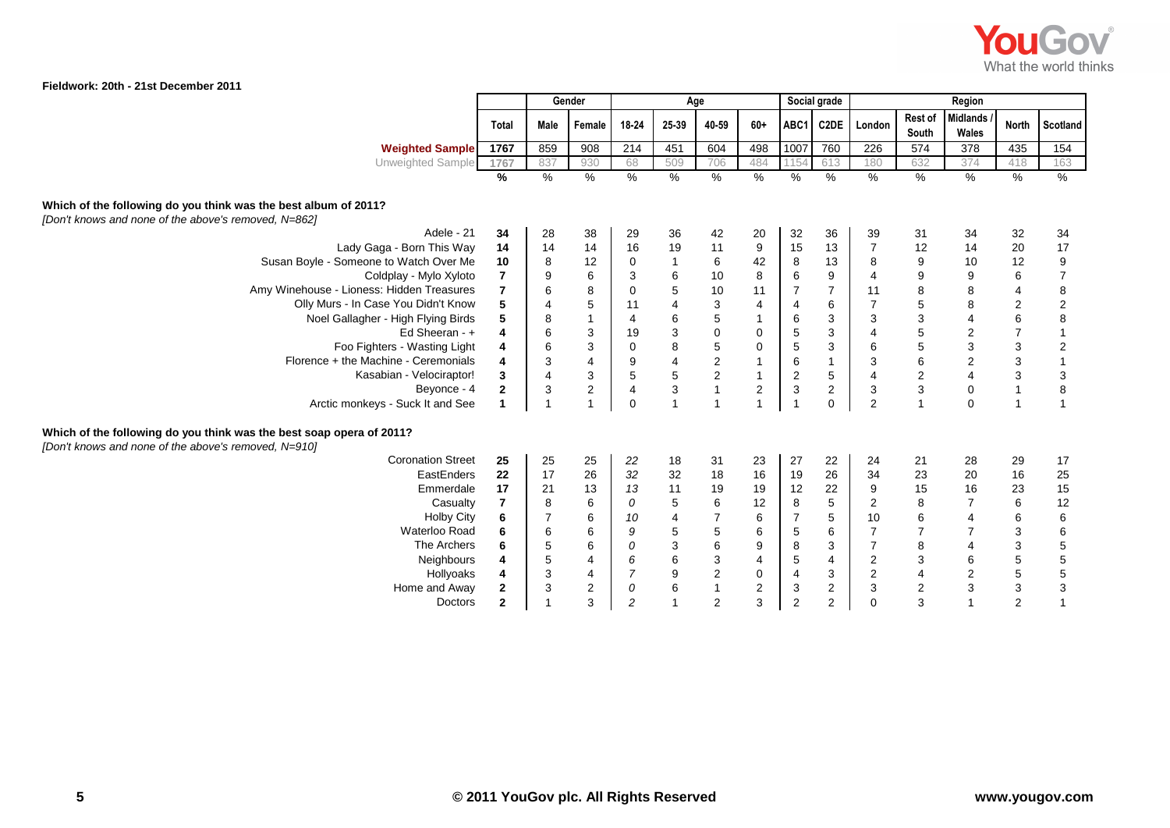

|                                                                                                                              |                         | Gender                  |                         | Age                     |                                            |                                            |                         |                | Social grade   |                           |                         | Region                    |                           |                                            |
|------------------------------------------------------------------------------------------------------------------------------|-------------------------|-------------------------|-------------------------|-------------------------|--------------------------------------------|--------------------------------------------|-------------------------|----------------|----------------|---------------------------|-------------------------|---------------------------|---------------------------|--------------------------------------------|
|                                                                                                                              | Total                   | Male                    | Female                  | 18-24                   | 25-39                                      | 40-59                                      | $60+$                   | ABC1           | C2DE           | London                    | Rest of<br>South        | Midlands<br>Wales         | <b>North</b>              | Scotland                                   |
| <b>Weighted Sample</b>                                                                                                       | 1767                    | 859                     | 908                     | 214                     | 451                                        | 604                                        | 498                     | 1007           | 760            | 226                       | 574                     | 378                       | 435                       | 154                                        |
| <b>Unweighted Sample</b>                                                                                                     | 1767                    | 837                     | 930                     | 68                      | 509                                        | 706                                        | 484                     | 1154           | 613            | 180                       | 632                     | 374                       | 418                       | 163                                        |
|                                                                                                                              | %                       | $\frac{0}{0}$           | $\frac{9}{6}$           | $\frac{9}{6}$           | $\frac{9}{6}$                              | $\frac{9}{6}$                              | $\frac{9}{6}$           | %              | $\frac{0}{0}$  | $\%$                      | $\%$                    | $\frac{0}{0}$             | $\%$                      | $\frac{9}{6}$                              |
| Which of the following do you think was the best album of 2011?<br>[Don't knows and none of the above's removed, N=862]      |                         |                         |                         |                         |                                            |                                            |                         |                |                |                           |                         |                           |                           |                                            |
| Adele - 21                                                                                                                   | 34                      | 28                      | 38                      | 29                      | 36                                         | 42                                         | 20                      | 32             | 36             | 39                        | 31                      | 34                        | 32                        | 34                                         |
| Lady Gaga - Born This Way                                                                                                    | 14                      | 14                      | 14                      | 16                      | 19                                         | 11                                         | 9                       | 15             | 13             | $\overline{7}$            | 12                      | 14                        | 20                        | 17                                         |
| Susan Boyle - Someone to Watch Over Me                                                                                       | 10                      | 8                       | 12                      | 0                       | $\mathbf{1}$                               | 6                                          | 42                      | 8              | 13             | 8                         | 9                       | 10                        | 12                        |                                            |
| Coldplay - Mylo Xyloto                                                                                                       | 7                       | 9                       | 6                       | 3                       |                                            | $10$                                       | $\bf 8$                 | $\,6$          | 9              | 4                         | 9                       | $\boldsymbol{9}$          | 6                         | $\begin{array}{c} 9 \\ 7 \end{array}$      |
| Amy Winehouse - Lioness: Hidden Treasures                                                                                    | $\overline{\mathbf{r}}$ | 6                       | $\bf 8$                 | $\pmb{0}$               | $\begin{array}{c} 6 \\ 5 \end{array}$      | $10$                                       | 11                      | $\overline{7}$ | $\overline{7}$ | 11                        | 8                       | 8                         | $\overline{\mathbf{4}}$   |                                            |
| Olly Murs - In Case You Didn't Know                                                                                          | 5                       | 4                       | $\sqrt{5}$              | 11                      | 4                                          | $\ensuremath{\mathsf{3}}$                  | 4                       | 4              | $\,6$          | $\overline{7}$            | $\mathbf 5$             | 8                         | $\overline{2}$            | $\begin{array}{c} 8 \\ 2 \\ 8 \end{array}$ |
| Noel Gallagher - High Flying Birds                                                                                           | 5                       | 8                       | $\mathbf{1}$            | $\overline{\mathbf{4}}$ | 6                                          | 5                                          |                         | 6              | $\sqrt{3}$     | 3                         | 3                       | $\overline{\mathbf{4}}$   | $\,6\,$                   |                                            |
| Ed Sheeran - +                                                                                                               | 4                       | 6                       | 3                       | 19                      | 3<br>8                                     | $\mathbf 0$                                | $\pmb{0}$               | 5              | $\mathbf{3}$   | $\overline{4}$            | 5                       | $\sqrt{2}$                | $\overline{\mathcal{I}}$  | $\overline{1}$                             |
| Foo Fighters - Wasting Light                                                                                                 | 4                       | 6                       | 3                       | $\pmb{0}$               |                                            | $\sqrt{5}$                                 | $\pmb{0}$               | $\mathbf 5$    | 3              | $\,6$                     | 5                       | $\mathsf 3$               | $\ensuremath{\mathsf{3}}$ | $\begin{array}{c} 2 \\ 1 \end{array}$      |
| Florence + the Machine - Ceremonials                                                                                         | 4                       | 3                       | $\overline{\mathbf{4}}$ | $\boldsymbol{9}$        |                                            | $\begin{array}{c} 2 \\ 2 \\ 1 \end{array}$ | $\mathbf{1}$            | $\,6\,$        | $\mathbf{1}$   | $\ensuremath{\mathsf{3}}$ | 6                       | $\sqrt{2}$                | $\mathbf{3}$              |                                            |
| Kasabian - Velociraptor!                                                                                                     | 3                       | $\overline{\mathbf{4}}$ | 3                       | 5                       | $\begin{array}{c} 4 \\ 5 \\ 3 \end{array}$ |                                            | $\mathbf{1}$            | $\sqrt{2}$     | $\sqrt{5}$     | 4                         | $\mathbf 2$             | $\overline{\mathbf{4}}$   | $\mathbf{3}$              | $\frac{3}{8}$                              |
| Beyonce - 4                                                                                                                  | $\mathbf 2$             | 3                       | $\sqrt{2}$              | $\overline{\mathbf{4}}$ |                                            |                                            | $\overline{c}$          | $\mathsf 3$    | $\overline{c}$ | 3                         | $\mathbf{3}$            | $\mathsf 0$               | $\overline{1}$            |                                            |
| Arctic monkeys - Suck It and See                                                                                             | 1                       | -1                      | $\overline{1}$          | $\mathbf 0$             |                                            | $\mathbf{1}$                               | $\overline{1}$          | $\overline{1}$ | $\mathbf 0$    | $\overline{2}$            | $\overline{1}$          | $\mathbf 0$               | $\overline{1}$            | $\overline{1}$                             |
| Which of the following do you think was the best soap opera of 2011?<br>[Don't knows and none of the above's removed, N=910] |                         |                         |                         |                         |                                            |                                            |                         |                |                |                           |                         |                           |                           |                                            |
| <b>Coronation Street</b>                                                                                                     | 25                      | 25                      | 25                      | 22                      | 18                                         | 31                                         | 23                      | 27             | 22             | 24                        | 21                      | 28                        | 29                        | 17                                         |
| EastEnders                                                                                                                   | 22                      | 17                      | 26                      | 32                      | 32                                         | 18                                         | 16                      | 19             | 26             | 34                        | 23                      | 20                        | 16                        | 25                                         |
| Emmerdale                                                                                                                    | 17                      | 21                      | 13                      | 13                      | 11                                         | 19                                         | 19                      | 12             | 22             | 9                         | 15                      | 16                        | 23                        | 15                                         |
| Casualty                                                                                                                     | $\overline{7}$          | 8                       | $\,6\,$                 | 0                       | $\mathbf 5$                                | $\,6\,$                                    | 12                      | 8              | $\sqrt{5}$     | $\sqrt{2}$                | 8                       | $\overline{7}$            | $\,6\,$                   | 12                                         |
| <b>Holby City</b>                                                                                                            | 6                       | $\boldsymbol{7}$        | 6                       | 10                      | $\overline{\mathbf{4}}$                    | $\boldsymbol{7}$                           | 6                       | $\overline{7}$ | $\sqrt{5}$     | 10                        | 6                       | $\overline{\mathbf{4}}$   | 6                         | $\, 6$                                     |
| Waterloo Road                                                                                                                | 6                       | 6                       | $\,6$                   | 9                       | 5<br>3<br>6<br>9<br>6                      | $\sqrt{5}$                                 | 6                       | $\mathbf 5$    | $\,6\,$        | $\overline{7}$            | $\overline{7}$          | $\boldsymbol{7}$          | $\ensuremath{\mathsf{3}}$ | 65553                                      |
| The Archers                                                                                                                  | 6                       | $\mathbf 5$             | $\,6$                   | 0                       |                                            | $\, 6$                                     | $\boldsymbol{9}$        | 8              | 3              | $\overline{7}$            | 8                       | $\overline{\mathbf{4}}$   | $\ensuremath{\mathsf{3}}$ |                                            |
| Neighbours                                                                                                                   | 4                       | $\mathbf 5$             | $\overline{\mathbf{4}}$ | 6                       |                                            | $\begin{array}{c} 3 \\ 2 \end{array}$      | $\overline{\mathbf{4}}$ | 5              | 4              | $\overline{\mathbf{c}}$   | $\mathsf 3$             | $\,6$                     | $\sqrt{5}$                |                                            |
| Hollyoaks                                                                                                                    | 4                       | 3                       | $\overline{4}$          | $\boldsymbol{7}$        |                                            |                                            | $\pmb{0}$               | 4              | $\mathbf{3}$   | $\mathbf 2$               | $\overline{\mathbf{4}}$ | $\boldsymbol{2}$          | $\sqrt{5}$                |                                            |
| Home and Away                                                                                                                | 2                       | 3                       | $\overline{c}$          | ${\cal O}$              |                                            | $\mathbf{1}$                               | $\boldsymbol{2}$        | 3              | $\sqrt{2}$     | 3                         | $\sqrt{2}$              | $\ensuremath{\mathsf{3}}$ | $\ensuremath{\mathsf{3}}$ |                                            |
| Doctors                                                                                                                      | $\overline{2}$          |                         | 3                       | $\overline{c}$          | $\overline{1}$                             | $\overline{2}$                             | 3                       | $\sqrt{2}$     | $\mathbf 2$    | $\Omega$                  | 3                       | $\overline{1}$            | $\overline{2}$            | $\overline{1}$                             |
|                                                                                                                              |                         |                         |                         |                         |                                            |                                            |                         |                |                |                           |                         |                           |                           |                                            |

г

┱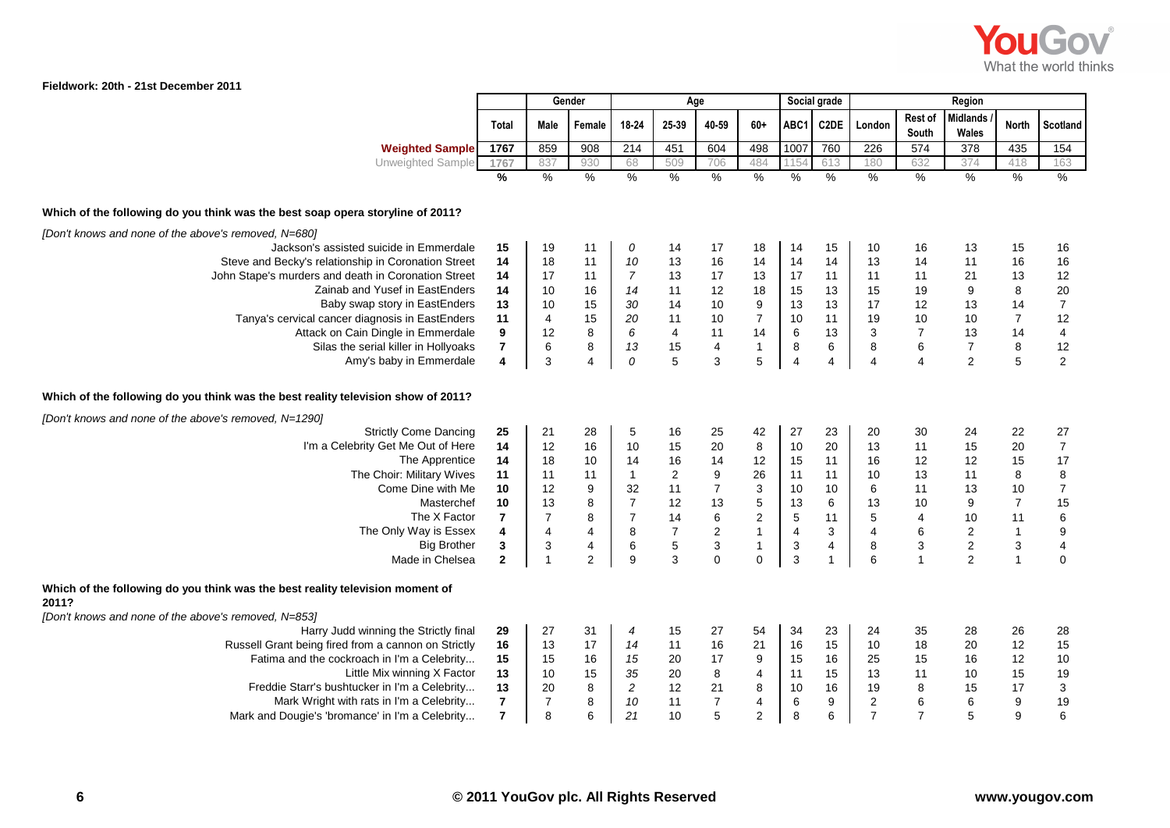

|                                                                                        |                | Gender         |                         |                         | Age                     |                           |                         |                | Social grade      |                |                  | Region                   |                           |                          |
|----------------------------------------------------------------------------------------|----------------|----------------|-------------------------|-------------------------|-------------------------|---------------------------|-------------------------|----------------|-------------------|----------------|------------------|--------------------------|---------------------------|--------------------------|
|                                                                                        | Total          | Male           | Female                  | 18-24                   | 25-39                   | 40-59                     | $60+$                   | ABC1           | C <sub>2</sub> DE | London         | Rest of<br>South | <b>Midlands</b><br>Wales | North                     | <b>Scotland</b>          |
| <b>Weighted Sample</b>                                                                 | 1767           | 859            | 908                     | 214                     | 451                     | 604                       | 498                     | 1007           | 760               | 226            | 574              | 378                      | 435                       | 154                      |
| Unweighted Sample                                                                      | 1767           | 837            | 930                     | 68                      | 509                     | 706                       | 484                     | 115            | 613               | 180            | 632              | 374                      | 418                       | 163                      |
|                                                                                        | %              | $\frac{9}{6}$  | $\frac{0}{6}$           | $\frac{9}{6}$           | $\frac{9}{6}$           | $\frac{9}{6}$             | $\frac{0}{0}$           | $\frac{9}{6}$  | $\frac{9}{6}$     | $\frac{9}{6}$  | $\frac{9}{6}$    | $\%$                     | $\frac{9}{6}$             | $\%$                     |
| Which of the following do you think was the best soap opera storyline of 2011?         |                |                |                         |                         |                         |                           |                         |                |                   |                |                  |                          |                           |                          |
| [Don't knows and none of the above's removed, N=680]                                   |                |                |                         |                         |                         |                           |                         |                |                   |                |                  |                          |                           |                          |
| Jackson's assisted suicide in Emmerdale                                                | 15             | 19             | 11                      | 0                       | 14                      | 17                        | 18                      | 14             | 15                | 10             | 16               | 13                       | 15                        | 16                       |
| Steve and Becky's relationship in Coronation Street                                    | 14             | 18             | 11                      | 10                      | 13                      | 16                        | 14                      | 14             | 14                | 13             | 14               | 11                       | 16                        | 16                       |
| John Stape's murders and death in Coronation Street                                    | 14             | 17             | 11                      | $\overline{7}$          | 13                      | 17                        | 13                      | 17             | 11                | 11             | 11               | 21                       | 13                        | 12                       |
| Zainab and Yusef in EastEnders                                                         | 14             | 10             | 16                      | 14                      | 11                      | 12                        | 18                      | 15             | 13                | 15             | 19               | 9                        | $\bf 8$                   | 20                       |
| Baby swap story in EastEnders                                                          | 13             | 10             | 15                      | 30                      | 14                      | 10                        | $\boldsymbol{9}$        | 13             | 13                | 17             | 12               | 13                       | 14                        | $\bf 7$                  |
| Tanya's cervical cancer diagnosis in EastEnders                                        | 11             | $\overline{4}$ | 15                      | 20                      | 11                      | 10                        | $\overline{7}$          | 10             | 11                | 19             | 10               | 10                       | $\overline{7}$            | 12                       |
| Attack on Cain Dingle in Emmerdale                                                     | 9              | 12             | 8                       | 6                       | $\overline{\mathbf{4}}$ | 11                        | 14                      | 6              | 13                | 3              | $\overline{7}$   | 13                       | 14                        | $\overline{4}$           |
| Silas the serial killer in Hollyoaks                                                   | $\bf 7$        | 6              | 8                       | 13                      | 15                      | $\overline{\mathbf{4}}$   | $\mathbf{1}$            | 8              | 6                 | 8              | $\,6\,$          | $\overline{7}$           | $\bf 8$                   | 12                       |
| Amy's baby in Emmerdale                                                                | $\pmb{4}$      | $\mathsf 3$    | $\overline{\mathbf{4}}$ | ${\cal O}$              | $\overline{5}$          | $\mathsf 3$               | $\sqrt{5}$              | 4              | 4                 | $\overline{4}$ | $\overline{4}$   | $\overline{c}$           | $\overline{5}$            | $\sqrt{2}$               |
| Which of the following do you think was the best reality television show of 2011?      |                |                |                         |                         |                         |                           |                         |                |                   |                |                  |                          |                           |                          |
| [Don't knows and none of the above's removed, N=1290]                                  |                |                |                         |                         |                         |                           |                         |                |                   |                |                  |                          |                           |                          |
| <b>Strictly Come Dancing</b>                                                           | 25             | 21             | 28                      | $\mathbf 5$             | 16                      | 25                        | 42                      | 27             | 23                | 20             | 30               | 24                       | 22                        | 27                       |
| I'm a Celebrity Get Me Out of Here                                                     | 14             | 12             | 16                      | 10                      | 15                      | 20                        | 8                       | 10             | 20                | 13             | 11               | 15                       | 20                        | $\boldsymbol{7}$         |
| The Apprentice                                                                         | 14             | 18             | 10                      | 14                      | 16                      | 14                        | 12                      | 15             | 11                | 16             | 12               | 12                       | 15                        | 17                       |
| The Choir: Military Wives                                                              | 11             | 11             | 11                      | $\mathbf{1}$            | $\mathbf 2$             | $\boldsymbol{9}$          | 26                      | 11             | 11                | 10             | 13               | 11                       | $\bf 8$                   | $\bf 8$                  |
| Come Dine with Me                                                                      | 10             | 12             | 9                       | 32                      | 11                      | $\overline{7}$            | $\mathsf 3$             | 10             | 10                | 6              | 11               | 13                       | 10                        | $\overline{7}$           |
| Masterchef                                                                             | 10             | 13             | 8                       | $\overline{\mathbf{7}}$ | 12                      | 13                        | $\overline{5}$          | 13             | 6                 | 13             | 10               | 9                        | $\overline{7}$            | 15                       |
| The X Factor                                                                           | $\overline{7}$ | $\overline{7}$ | 8                       | $\overline{7}$          | 14                      | $\,6\,$                   | $\sqrt{2}$              | $\overline{5}$ | 11                | 5              | $\overline{4}$   | 10                       | 11                        | $\,6$                    |
| The Only Way is Essex                                                                  | 4              | $\overline{4}$ | $\overline{\mathbf{4}}$ | 8                       | $\overline{7}$          | $\mathbf 2$               | $\mathbf{1}$            | 4              | 3                 | $\overline{4}$ | $\,6\,$          | $\overline{c}$           | $\mathbf{1}$              | $\boldsymbol{9}$         |
| <b>Big Brother</b>                                                                     | $\mathbf 3$    | $\sqrt{3}$     | $\overline{\mathbf{4}}$ | $\, 6$                  | $\overline{5}$          | $\ensuremath{\mathsf{3}}$ | $\mathbf{1}$            | $\sqrt{3}$     | 4                 | 8              | $\sqrt{3}$       | $\mathbf 2$              | $\ensuremath{\mathsf{3}}$ | $\overline{\mathcal{A}}$ |
| Made in Chelsea                                                                        | $\mathbf{2}$   | $\mathbf{1}$   | $\overline{2}$          | 9                       | 3                       | $\mathbf 0$               | $\mathsf{O}\xspace$     | 3              | 1                 | 6              | $\overline{1}$   | $\overline{2}$           | $\mathbf{1}$              | $\mathbf 0$              |
| Which of the following do you think was the best reality television moment of<br>2011? |                |                |                         |                         |                         |                           |                         |                |                   |                |                  |                          |                           |                          |
| [Don't knows and none of the above's removed, N=853]                                   |                |                |                         |                         |                         |                           |                         |                |                   |                |                  |                          |                           |                          |
| Harry Judd winning the Strictly final                                                  | 29             | 27             | 31                      | 4                       | 15                      | 27                        | 54                      | 34             | 23                | 24             | 35               | 28                       | 26                        | 28                       |
| Russell Grant being fired from a cannon on Strictly                                    | 16             | 13             | 17                      | 14                      | 11                      | 16                        | 21                      | 16             | 15                | 10             | 18               | 20                       | 12                        | 15                       |
| Fatima and the cockroach in I'm a Celebrity                                            | 15             | 15             | 16                      | 15                      | 20                      | 17                        | $\boldsymbol{9}$        | 15             | 16                | 25             | 15               | 16                       | 12                        | 10                       |
| Little Mix winning X Factor                                                            | 13             | 10             | 15                      | 35                      | 20                      | $\,8\,$                   | $\overline{\mathbf{4}}$ | 11             | 15                | 13             | 11               | 10                       | 15                        | 19                       |
| Freddie Starr's bushtucker in I'm a Celebrity                                          | 13             | 20             | 8                       | $\boldsymbol{2}$        | 12                      | 21                        | 8                       | 10             | 16                | 19             | $\bf8$           | 15                       | 17                        | $\mathbf{3}$             |
| Mark Wright with rats in I'm a Celebrity                                               | $\overline{7}$ | $\overline{7}$ | 8                       | 10                      | 11                      | $\overline{7}$            | $\overline{\mathbf{4}}$ | 6              | 9                 | $\sqrt{2}$     | $\,6\,$          | 6                        | $\boldsymbol{9}$          | 19                       |
| Mark and Dougie's 'bromance' in I'm a Celebrity                                        | $\overline{7}$ | 8              | 6                       | 21                      | 10                      | 5                         | $\overline{2}$          | 8              | 6                 | $\overline{7}$ | $\overline{7}$   | 5                        | 9                         | 6                        |